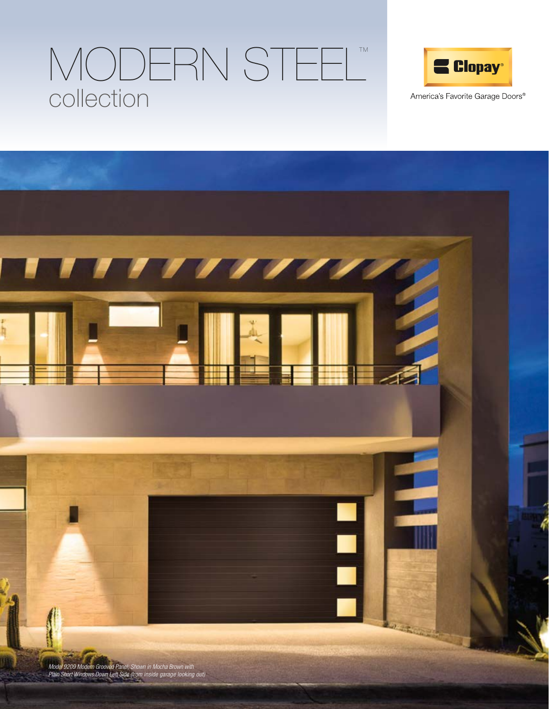# collection MODERN STEEL™



America's Favorite Garage Doors®

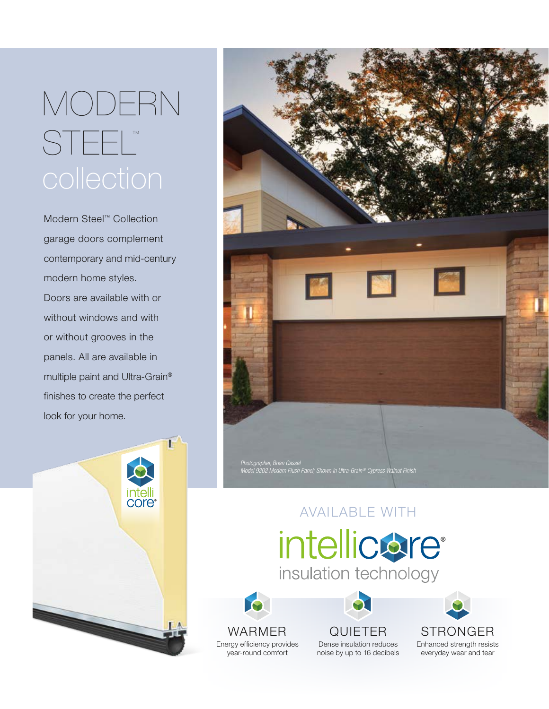# MODERN STEEL™

Modern Steel™ Collection garage doors complement contemporary and mid-century modern home styles. Doors are available with or without windows and with or without grooves in the panels. All are available in multiple paint and Ultra-Grain® finishes to create the perfect look for your home.





## AVAILABLE WITH

## intellicare® insulation technology



QUIETER Dense insulation reduces noise by up to 16 decibels

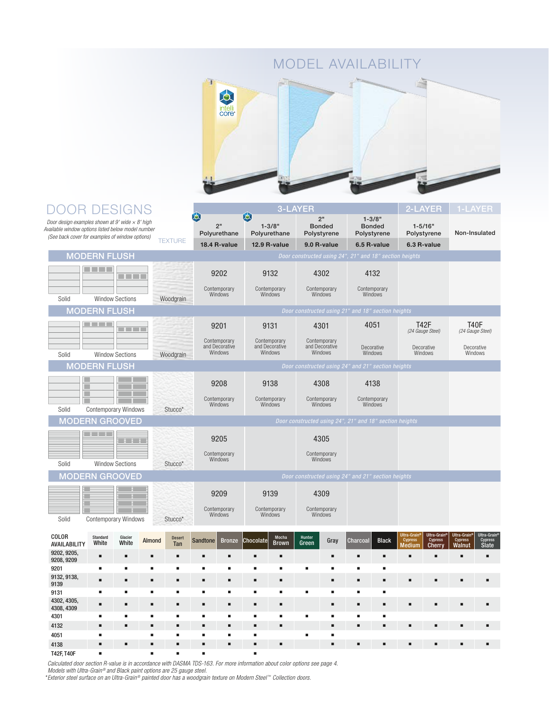#### MODEL AVAILABILITY



#### DOOR DESIGNS 3-LAYER 2-LAYER O 囟 2" 1-3/8" Door design examples shown at 9' wide  $\times$  8' high  $2"$ 1-5/16" 1-3/8" Bonded Bonded Available window options listed below model number Polyurethane Polyurethane Polystyrene Polystyrene Polystyrene Non-Insulated (See back cover for examples of window options) **TEXTURE 18.4 R-value 12.9 R-value 9.0 R-value 6.5 R-value 6.3 R-value MODERN FLUSH**  $\Box$   $\Box$ 9202 9132 4302 4132 **TITLE** Contemporary Contemporary Contemporary Contemporary Windows **Windows Windows** Windows Solid Window Sections Woodgrain **MODERN FLUSH TELL** 4051 T42F<br>(24 Gauge Steel) T40F<br>(24 Gauge Steel) 9201 9131 4301 **HELL** Contemporary and Decorative Windows Contemporary and Decorative Windows Contemporary and Decorative Windows Decorative Decorative Decorative Solid Window Sections Woodgrain Windows Windows Windows MODERN FLUSH Door constructed using 24" and 21" section heights 9208 9138 4308 4138 г **Contemporary** Contemporary Contemporary Windows Contemporary Windows Windows Windows Solid Contemporary Windows Stucco\* MODERN GROOVED 9205 4305 Contemporary Contemporary Windows Windows Solid Window Sections Stucco\* MODERN GROOVED **Door constructed using 24" and 21" section here are also constructed using 24" and 21" section h** 9209 9139 4309 Contemporary Contemporary Contemporary Windows Windows Windows Solid Contemporary Windows Stucco\* COLOR Ultra-Grain® Ultra-Grain® Ultra-Grain® Ultra-Grain® Almond Desert Standard Glacier<br>White Sandtone Bronze Chocolate Mocha Hunter<br>Green Gray Charcoal Black Cypress Cypress Cypress Cypress AVAILABILITY **White** Brown Medium Cherry Walnut Slate 9202, 9205, 9208, 9209 n n n n n n n n n n n n n n n 9201 n n n n n n n n n n n n 9132, 9138, n n n n n n n n n n n n n n n 9139 9131 n n n n n n n n n n n n 4302, 4305, n n n n n n n n n n n n n n n 4308, 4309 4301 n n n n n n n n n n n n 4132 n n n n n n n n n n n n n n n 4051 <sup>n</sup> n n n n n n n

4138 n n n n n n n n n n n n n n n

Calculated door section R-value is in accordance with DASMA TDS-163. For more information about color options see page 4.

Models with Ultra-Grain® and Black paint options are 25 gauge steel.

T42F, T40F n n n n n

\*Exterior steel surface on an Ultra-Grain ® painted door has a woodgrain texture on Modern Steel™ Collection doors.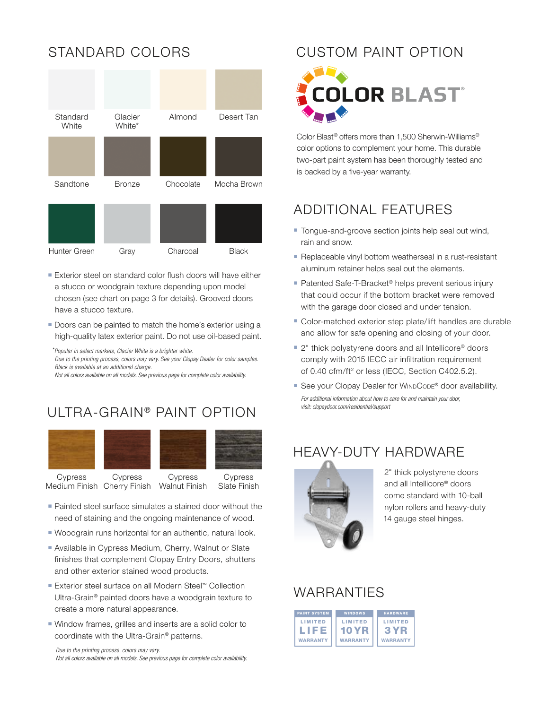

- **Exterior steel on standard color flush doors will have either** a stucco or woodgrain texture depending upon model chosen (see chart on page 3 for details). Grooved doors have a stucco texture.
- **Doors can be painted to match the home's exterior using a** high-quality latex exterior paint. Do not use oil-based paint.

\*Popular in select markets, Glacier White is a brighter white.

Due to the printing process, colors may vary. See your Clopay Dealer for color samples. Black is available at an additional charge.

Not all colors available on all models. See previous page for complete color availability.

#### ULTRA-GRAIN<sup>®</sup> PAINT OPTION



Medium Finish Cherry Finish Walnut Finish

Slate Finish

- Painted steel surface simulates a stained door without the need of staining and the ongoing maintenance of wood.
- Woodgrain runs horizontal for an authentic, natural look.
- Available in Cypress Medium, Cherry, Walnut or Slate finishes that complement Clopay Entry Doors, shutters and other exterior stained wood products.
- Exterior steel surface on all Modern Steel™ Collection Ultra-Grain® painted doors have a woodgrain texture to create a more natural appearance.
- Window frames, grilles and inserts are a solid color to coordinate with the Ultra-Grain® patterns.

Due to the printing process, colors may vary. Not all colors available on all models. See previous page for complete color availability.

#### STANDARD COLORS CUSTOM PAINT OPTION



Color Blast® offers more than 1,500 Sherwin-Williams® color options to complement your home. This durable two-part paint system has been thoroughly tested and is backed by a five-year warranty.

#### ADDITIONAL FEATURES

- **Tongue-and-groove section joints help seal out wind,** rain and snow.
- Replaceable vinyl bottom weatherseal in a rust-resistant aluminum retainer helps seal out the elements.
- Patented Safe-T-Bracket<sup>®</sup> helps prevent serious injury that could occur if the bottom bracket were removed with the garage door closed and under tension.
- $\blacksquare$  Color-matched exterior step plate/lift handles are durable and allow for safe opening and closing of your door.
- 2" thick polystyrene doors and all Intellicore® doors comply with 2015 IECC air infiltration requirement of 0.40 cfm/ft<sup>2</sup> or less (IECC, Section C402.5.2).
- For additional information about how to care for and maintain your door, visit: clopaydoor.com/residential/support ■ See your Clopay Dealer for WINDCODE<sup>®</sup> door availability.

### HEAVY-DUTY HARDWARE



2" thick polystyrene doors and all Intellicore® doors come standard with 10-ball nylon rollers and heavy-duty 14 gauge steel hinges.

#### WARRANTIES

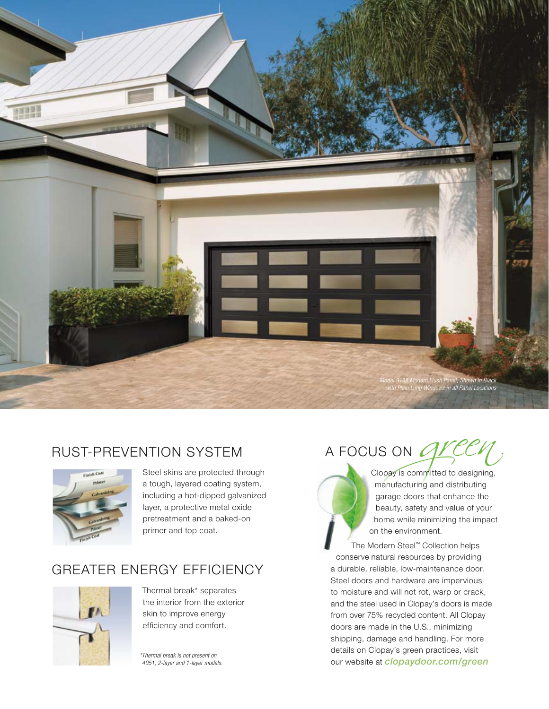

#### RUST-PREVENTION SYSTEM



Steel skins are protected through a tough, layered coating system, including a hot-dipped galvanized layer, a protective metal oxide pretreatment and a baked-on primer and top coat.

#### GREATER ENERGY EFFICIENCY



Thermal break\* separates the interior from the exterior skin to improve energy efficiency and comfort.

\*Thermal break is not present on 4051, 2-layer and 1-layer models.



Clopay is committed to designing, manufacturing and distributing garage doors that enhance the beauty, safety and value of your home while minimizing the impact on the environment.

The Modern Steel™ Collection helps conserve natural resources by providing a durable, reliable, low-maintenance door. Steel doors and hardware are impervious to moisture and will not rot, warp or crack, and the steel used in Clopay's doors is made from over 75% recycled content. All Clopay doors are made in the U.S., minimizing shipping, damage and handling. For more details on Clopay's green practices, visit our website at *clopaydoor.com/green*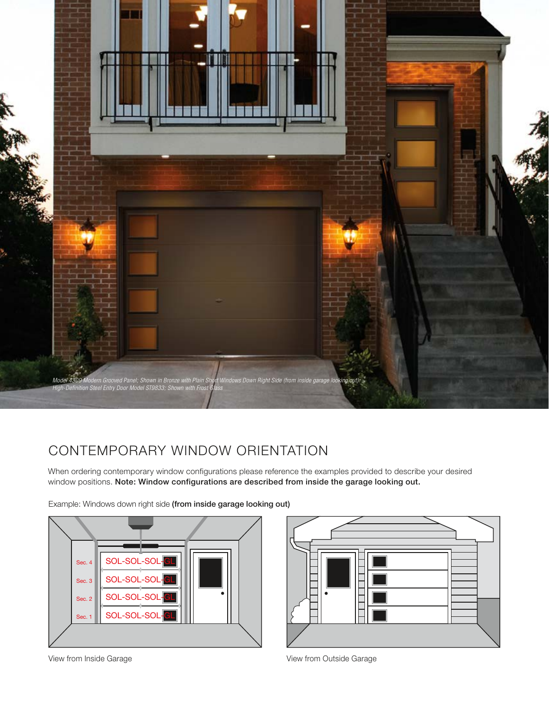

#### CONTEMPORARY WINDOW ORIENTATION

When ordering contemporary window configurations please reference the examples provided to describe your desired window positions. Note: Window configurations are described from inside the garage looking out.

Example: Windows down right side (from inside garage looking out)

![](_page_5_Figure_4.jpeg)

![](_page_5_Figure_5.jpeg)

View from Inside Garage View from Outside Garage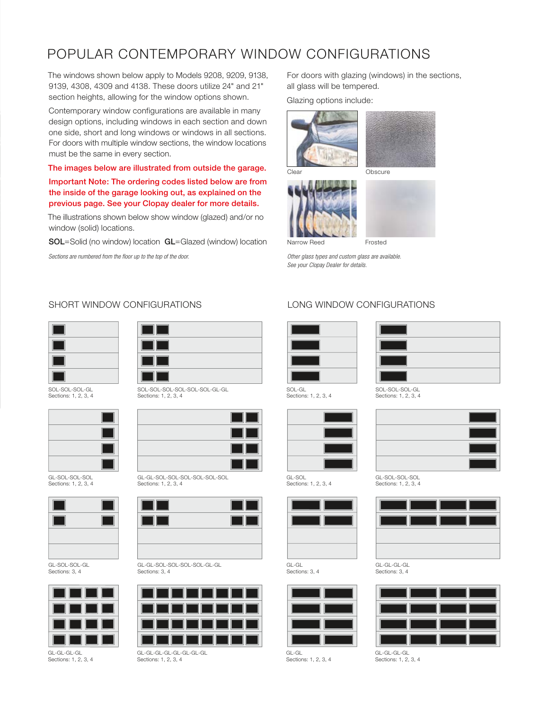#### POPULAR CONTEMPORARY WINDOW CONFIGURATIONS

The windows shown below apply to Models 9208, 9209, 9138, 9139, 4308, 4309 and 4138. These doors utilize 24" and 21" section heights, allowing for the window options shown.

Contemporary window configurations are available in many design options, including windows in each section and down one side, short and long windows or windows in all sections. For doors with multiple window sections, the window locations must be the same in every section.

#### The images below are illustrated from outside the garage.

#### Important Note: The ordering codes listed below are from the inside of the garage looking out, as explained on the previous page. See your Clopay dealer for more details.

The illustrations shown below show window (glazed) and/or no window (solid) locations.

SOL=Solid (no window) location GL=Glazed (window) location

Sections are numbered from the floor up to the top of the door.

For doors with glazing (windows) in the sections, all glass will be tempered.

Glazing options include:

![](_page_6_Picture_10.jpeg)

![](_page_6_Picture_11.jpeg)

Other glass types and custom glass are available. See your Clopay Dealer for details.

#### SHORT WINDOW CONFIGURATIONS LONG WINDOW CONFIGURATIONS

![](_page_6_Picture_15.jpeg)

SOL-SOL-SOL-GL Sections: 1, 2, 3, 4

![](_page_6_Picture_17.jpeg)

GL-SOL-SOL-SOL Sections: 1, 2, 3, 4

![](_page_6_Picture_19.jpeg)

GL-SOL-SOL-GL Sections: 3, 4

![](_page_6_Picture_21.jpeg)

GL-GL-GL-GL Sections: 1, 2, 3, 4

![](_page_6_Picture_23.jpeg)

SOL-SOL-SOL-SOL-SOL-SOL-GL-GL Sections: 1, 2, 3, 4

![](_page_6_Picture_25.jpeg)

GL-GL-SOL-SOL-SOL-SOL-SOL-SOL Sections: 1, 2, 3, 4

![](_page_6_Picture_27.jpeg)

GL-GL-SOL-SOL-SOL-SOL-GL-GL Sections: 3, 4

![](_page_6_Figure_29.jpeg)

Sections: 1, 2, 3, 4

![](_page_6_Picture_31.jpeg)

Sections: 1, 2, 3, 4

![](_page_6_Picture_33.jpeg)

Sections: 1, 2, 3, 4

![](_page_6_Picture_35.jpeg)

GL-GL Sections: 3, 4

![](_page_6_Picture_37.jpeg)

Sections: 1, 2, 3, 4

![](_page_6_Picture_39.jpeg)

Sections: 1, 2, 3, 4

![](_page_6_Picture_41.jpeg)

GL-SOL-SOL-SOL Sections: 1, 2, 3, 4

![](_page_6_Picture_43.jpeg)

Sections: 3, 4

![](_page_6_Picture_45.jpeg)

Sections: 1, 2, 3, 4